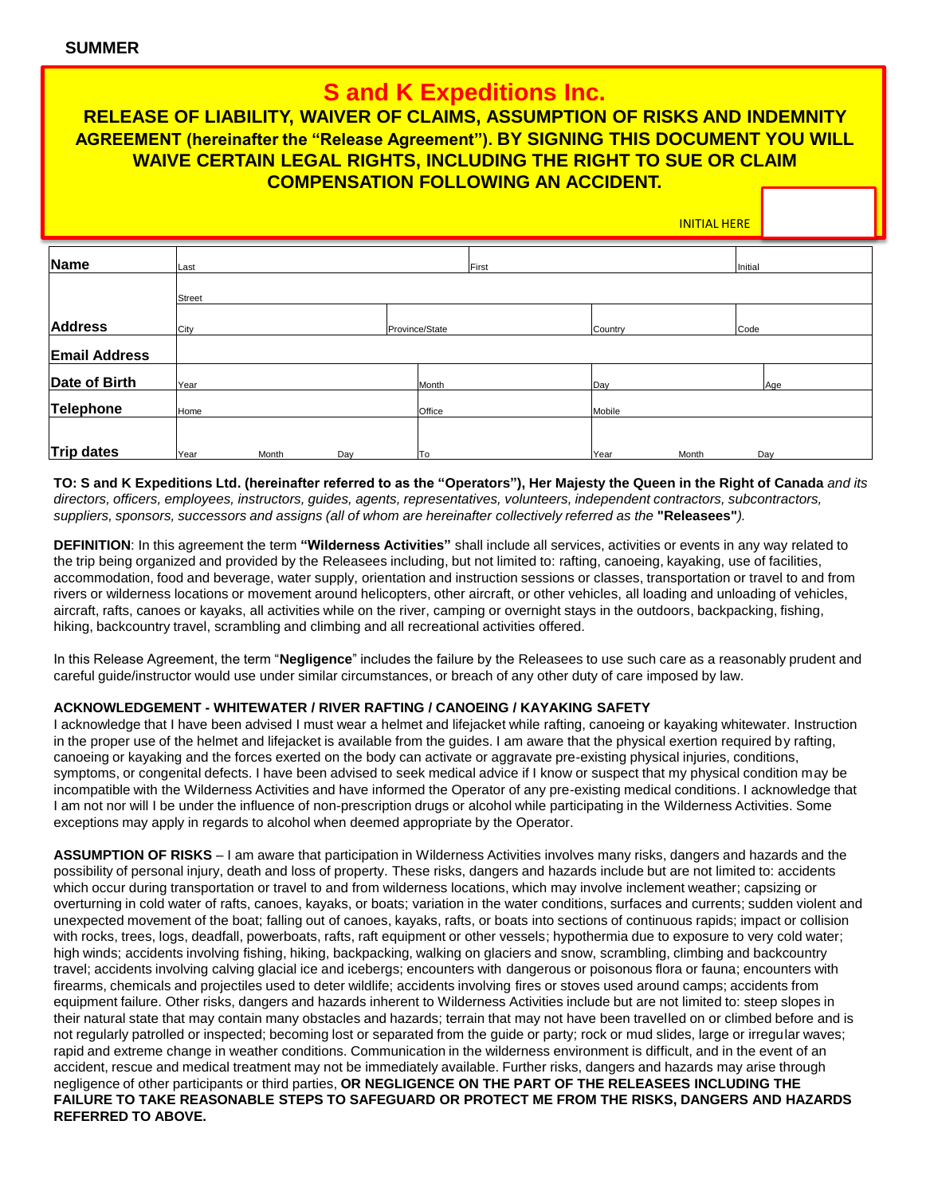# **S and K Expeditions Inc.**

## **RELEASE OF LIABILITY, WAIVER OF CLAIMS, ASSUMPTION OF RISKS AND INDEMNITY AGREEMENT (hereinafter the "Release Agreement"). BY SIGNING THIS DOCUMENT YOU WILL WAIVE CERTAIN LEGAL RIGHTS, INCLUDING THE RIGHT TO SUE OR CLAIM COMPENSATION FOLLOWING AN ACCIDENT.**

INITIAL HERE

| Name                 | Last   |       |     |                | First  |         |       | Initial |  |
|----------------------|--------|-------|-----|----------------|--------|---------|-------|---------|--|
|                      | Street |       |     |                |        |         |       |         |  |
| <b>Address</b>       |        |       |     |                |        |         |       |         |  |
|                      | City   |       |     | Province/State |        | Country |       | Code    |  |
| <b>Email Address</b> |        |       |     |                |        |         |       |         |  |
| Date of Birth        | Year   |       |     |                | Month  | Day     |       | Age     |  |
| Telephone            | Home   |       |     |                | Office | Mobile  |       |         |  |
|                      |        |       |     |                |        |         |       |         |  |
| Trip dates           | Year   | Month | Day |                | To     | Year    | Month | Day     |  |

**TO: S and K Expeditions Ltd. (hereinafter referred to as the "Operators"), Her Majesty the Queen in the Right of Canada** *and its directors, officers, employees, instructors, guides, agents, representatives, volunteers, independent contractors, subcontractors, suppliers, sponsors, successors and assigns (all of whom are hereinafter collectively referred as the* **"Releasees"***).* 

**DEFINITION**: In this agreement the term **"Wilderness Activities"** shall include all services, activities or events in any way related to the trip being organized and provided by the Releasees including, but not limited to: rafting, canoeing, kayaking, use of facilities, accommodation, food and beverage, water supply, orientation and instruction sessions or classes, transportation or travel to and from rivers or wilderness locations or movement around helicopters, other aircraft, or other vehicles, all loading and unloading of vehicles, aircraft, rafts, canoes or kayaks, all activities while on the river, camping or overnight stays in the outdoors, backpacking, fishing, hiking, backcountry travel, scrambling and climbing and all recreational activities offered.

In this Release Agreement, the term "**Negligence**" includes the failure by the Releasees to use such care as a reasonably prudent and careful guide/instructor would use under similar circumstances, or breach of any other duty of care imposed by law.

### **ACKNOWLEDGEMENT - WHITEWATER / RIVER RAFTING / CANOEING / KAYAKING SAFETY**

I acknowledge that I have been advised I must wear a helmet and lifejacket while rafting, canoeing or kayaking whitewater. Instruction in the proper use of the helmet and lifejacket is available from the guides. I am aware that the physical exertion required by rafting, canoeing or kayaking and the forces exerted on the body can activate or aggravate pre-existing physical injuries, conditions, symptoms, or congenital defects. I have been advised to seek medical advice if I know or suspect that my physical condition may be incompatible with the Wilderness Activities and have informed the Operator of any pre-existing medical conditions. I acknowledge that I am not nor will I be under the influence of non-prescription drugs or alcohol while participating in the Wilderness Activities. Some exceptions may apply in regards to alcohol when deemed appropriate by the Operator.

**ASSUMPTION OF RISKS** – I am aware that participation in Wilderness Activities involves many risks, dangers and hazards and the possibility of personal injury, death and loss of property. These risks, dangers and hazards include but are not limited to: accidents which occur during transportation or travel to and from wilderness locations, which may involve inclement weather; capsizing or overturning in cold water of rafts, canoes, kayaks, or boats; variation in the water conditions, surfaces and currents; sudden violent and unexpected movement of the boat; falling out of canoes, kayaks, rafts, or boats into sections of continuous rapids; impact or collision with rocks, trees, logs, deadfall, powerboats, rafts, raft equipment or other vessels; hypothermia due to exposure to very cold water; high winds; accidents involving fishing, hiking, backpacking, walking on glaciers and snow, scrambling, climbing and backcountry travel; accidents involving calving glacial ice and icebergs; encounters with dangerous or poisonous flora or fauna; encounters with firearms, chemicals and projectiles used to deter wildlife; accidents involving fires or stoves used around camps; accidents from equipment failure. Other risks, dangers and hazards inherent to Wilderness Activities include but are not limited to: steep slopes in their natural state that may contain many obstacles and hazards; terrain that may not have been travelled on or climbed before and is not regularly patrolled or inspected; becoming lost or separated from the guide or party; rock or mud slides, large or irregular waves; rapid and extreme change in weather conditions. Communication in the wilderness environment is difficult, and in the event of an accident, rescue and medical treatment may not be immediately available. Further risks, dangers and hazards may arise through negligence of other participants or third parties, **OR NEGLIGENCE ON THE PART OF THE RELEASEES INCLUDING THE FAILURE TO TAKE REASONABLE STEPS TO SAFEGUARD OR PROTECT ME FROM THE RISKS, DANGERS AND HAZARDS REFERRED TO ABOVE.**